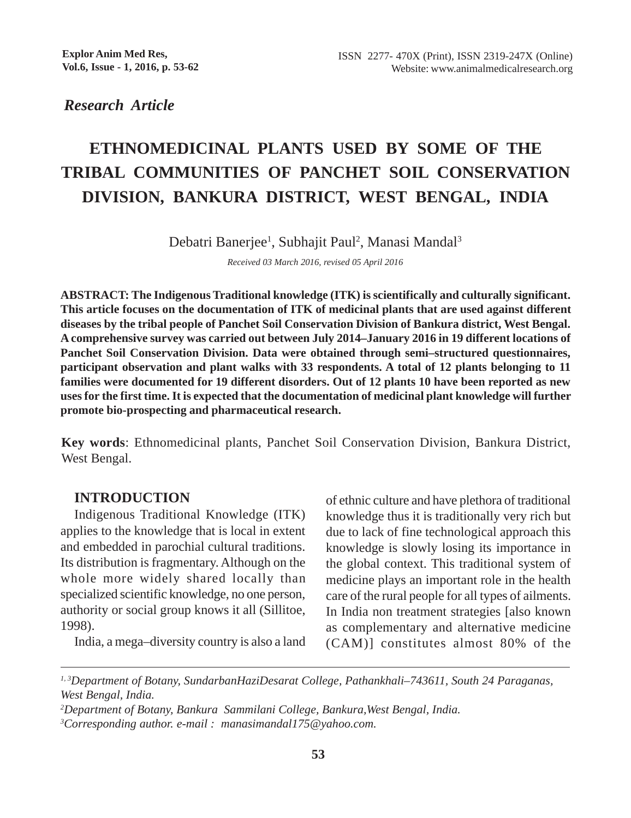*Research Article*

# **ETHNOMEDICINAL PLANTS USED BY SOME OF THE TRIBAL COMMUNITIES OF PANCHET SOIL CONSERVATION DIVISION, BANKURA DISTRICT, WEST BENGAL, INDIA**

Debatri Banerjee<sup>1</sup>, Subhajit Paul<sup>2</sup>, Manasi Mandal<sup>3</sup>

*Received 03 March 2016, revised 05 April 2016*

**ABSTRACT: The Indigenous Traditional knowledge (ITK) is scientifically and culturally significant. This article focuses on the documentation of ITK of medicinal plants that are used against different diseases by the tribal people of Panchet Soil Conservation Division of Bankura district, West Bengal. A comprehensive survey was carried out between July 2014–January 2016 in 19 different locations of Panchet Soil Conservation Division. Data were obtained through semi–structured questionnaires, participant observation and plant walks with 33 respondents. A total of 12 plants belonging to 11 families were documented for 19 different disorders. Out of 12 plants 10 have been reported as new uses for the first time. It is expected that the documentation of medicinal plant knowledge will further promote bio-prospecting and pharmaceutical research.**

**Key words**: Ethnomedicinal plants, Panchet Soil Conservation Division, Bankura District, West Bengal.

### **INTRODUCTION**

Indigenous Traditional Knowledge (ITK) applies to the knowledge that is local in extent and embedded in parochial cultural traditions. Its distribution is fragmentary. Although on the whole more widely shared locally than specialized scientific knowledge, no one person, authority or social group knows it all (Sillitoe, 1998).

India, a mega–diversity country is also a land

of ethnic culture and have plethora of traditional knowledge thus it is traditionally very rich but due to lack of fine technological approach this knowledge is slowly losing its importance in the global context. This traditional system of medicine plays an important role in the health care of the rural people for all types of ailments. In India non treatment strategies [also known as complementary and alternative medicine (CAM)] constitutes almost 80% of the

*<sup>1, 3</sup>Department of Botany, SundarbanHaziDesarat College, Pathankhali–743611, South 24 Paraganas, West Bengal, India.*

*<sup>2</sup> Department of Botany, Bankura Sammilani College, Bankura,West Bengal, India. 3 Corresponding author. e-mail : manasimandal175@yahoo.com.*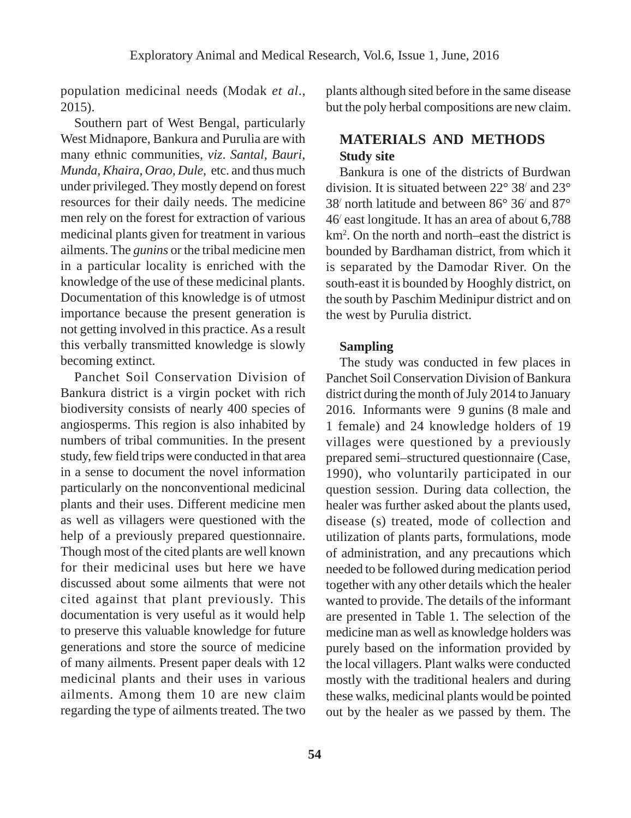population medicinal needs (Modak *et al*., 2015).

Southern part of West Bengal, particularly West Midnapore, Bankura and Purulia are with many ethnic communities, *viz*. *Santal, Bauri, Munda, Khaira, Orao, Dule,* etc. and thus much under privileged. They mostly depend on forest resources for their daily needs. The medicine men rely on the forest for extraction of various medicinal plants given for treatment in various ailments. The *gunins* or the tribal medicine men in a particular locality is enriched with the knowledge of the use of these medicinal plants. Documentation of this knowledge is of utmost importance because the present generation is not getting involved in this practice. As a result this verbally transmitted knowledge is slowly becoming extinct.

Panchet Soil Conservation Division of Bankura district is a virgin pocket with rich biodiversity consists of nearly 400 species of angiosperms. This region is also inhabited by numbers of tribal communities. In the present study, few field trips were conducted in that area in a sense to document the novel information particularly on the nonconventional medicinal plants and their uses. Different medicine men as well as villagers were questioned with the help of a previously prepared questionnaire. Though most of the cited plants are well known for their medicinal uses but here we have discussed about some ailments that were not cited against that plant previously. This documentation is very useful as it would help to preserve this valuable knowledge for future generations and store the source of medicine of many ailments. Present paper deals with 12 medicinal plants and their uses in various ailments. Among them 10 are new claim regarding the type of ailments treated. The two

plants although sited before in the same disease but the poly herbal compositions are new claim.

## **MATERIALS AND METHODS Study site**

Bankura is one of the districts of Burdwan division. It is situated between 22° 38/ and 23° 38/ north latitude and between 86° 36/ and 87° 46/ east longitude. It has an area of about 6,788 km2 . On the north and north–east the district is bounded by Bardhaman district, from which it is separated by the Damodar River. On the south-east it is bounded by Hooghly district, on the south by Paschim Medinipur district and on the west by Purulia district.

#### **Sampling**

The study was conducted in few places in Panchet Soil Conservation Division of Bankura district during the month of July 2014 to January 2016. Informants were 9 gunins (8 male and 1 female) and 24 knowledge holders of 19 villages were questioned by a previously prepared semi–structured questionnaire (Case, 1990), who voluntarily participated in our question session. During data collection, the healer was further asked about the plants used, disease (s) treated, mode of collection and utilization of plants parts, formulations, mode of administration, and any precautions which needed to be followed during medication period together with any other details which the healer wanted to provide. The details of the informant are presented in Table 1. The selection of the medicine man as well as knowledge holders was purely based on the information provided by the local villagers. Plant walks were conducted mostly with the traditional healers and during these walks, medicinal plants would be pointed out by the healer as we passed by them. The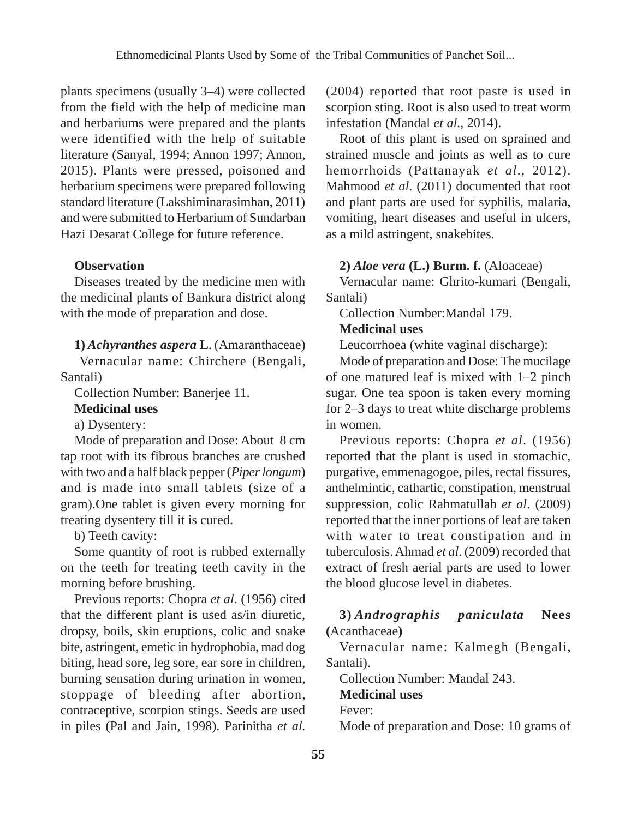plants specimens (usually 3–4) were collected from the field with the help of medicine man and herbariums were prepared and the plants were identified with the help of suitable literature (Sanyal, 1994; Annon 1997; Annon, 2015). Plants were pressed, poisoned and herbarium specimens were prepared following standard literature (Lakshiminarasimhan, 2011) and were submitted to Herbarium of Sundarban Hazi Desarat College for future reference.

#### **Observation**

Diseases treated by the medicine men with the medicinal plants of Bankura district along with the mode of preparation and dose.

**1)** *Achyranthes aspera* **L**. (Amaranthaceae)

 Vernacular name: Chirchere (Bengali, Santali)

Collection Number: Banerjee 11.

#### **Medicinal uses**

a) Dysentery:

Mode of preparation and Dose: About 8 cm tap root with its fibrous branches are crushed with two and a half black pepper (*Piper longum*) and is made into small tablets (size of a gram).One tablet is given every morning for treating dysentery till it is cured.

b) Teeth cavity:

Some quantity of root is rubbed externally on the teeth for treating teeth cavity in the morning before brushing.

Previous reports: Chopra *et al*. (1956) cited that the different plant is used as/in diuretic, dropsy, boils, skin eruptions, colic and snake bite, astringent, emetic in hydrophobia, mad dog biting, head sore, leg sore, ear sore in children, burning sensation during urination in women, stoppage of bleeding after abortion, contraceptive, scorpion stings. Seeds are used in piles (Pal and Jain, 1998). Parinitha *et al.*

(2004) reported that root paste is used in scorpion sting. Root is also used to treat worm infestation (Mandal *et al*., 2014).

Root of this plant is used on sprained and strained muscle and joints as well as to cure hemorrhoids (Pattanayak *et al*., 2012). Mahmood *et al*. (2011) documented that root and plant parts are used for syphilis, malaria, vomiting, heart diseases and useful in ulcers, as a mild astringent, snakebites.

#### **2)** *Aloe vera* **(L.) Burm. f.** (Aloaceae)

Vernacular name: Ghrito-kumari (Bengali, Santali)

Collection Number:Mandal 179.

#### **Medicinal uses**

Leucorrhoea (white vaginal discharge):

Mode of preparation and Dose: The mucilage of one matured leaf is mixed with 1–2 pinch sugar. One tea spoon is taken every morning for 2–3 days to treat white discharge problems in women.

Previous reports: Chopra *et al*. (1956) reported that the plant is used in stomachic, purgative, emmenagogoe, piles, rectal fissures, anthelmintic, cathartic, constipation, menstrual suppression, colic Rahmatullah *et al*. (2009) reported that the inner portions of leaf are taken with water to treat constipation and in tuberculosis. Ahmad *et al*. (2009) recorded that extract of fresh aerial parts are used to lower the blood glucose level in diabetes.

#### **3)** *Andrographis paniculata* **Nees (**Acanthaceae**)**

Vernacular name: Kalmegh (Bengali, Santali).

Collection Number: Mandal 243. **Medicinal uses** Fever: Mode of preparation and Dose: 10 grams of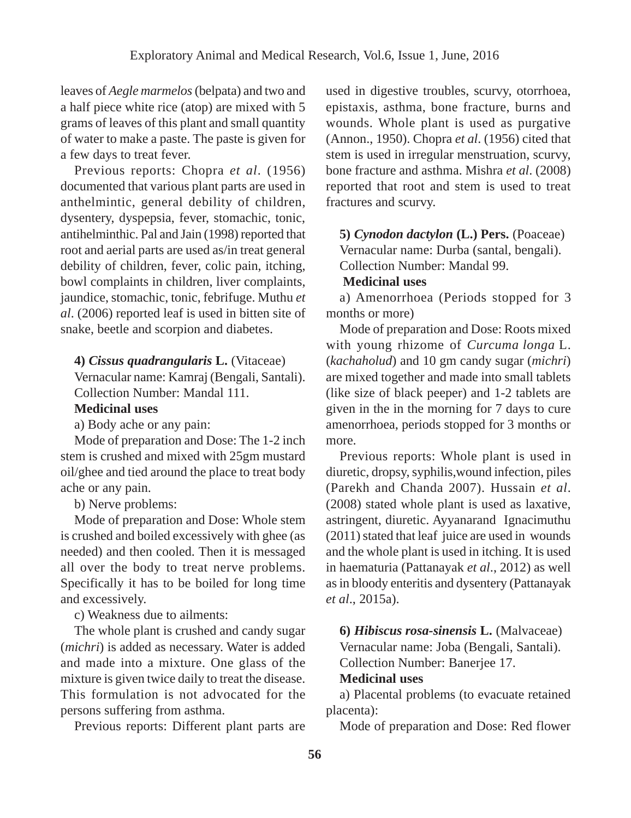leaves of *Aegle marmelos* (belpata) and two and a half piece white rice (atop) are mixed with 5 grams of leaves of this plant and small quantity of water to make a paste. The paste is given for a few days to treat fever.

Previous reports: Chopra *et al*. (1956) documented that various plant parts are used in anthelmintic, general debility of children, dysentery, dyspepsia, fever, stomachic, tonic, antihelminthic. Pal and Jain (1998) reported that root and aerial parts are used as/in treat general debility of children, fever, colic pain, itching, bowl complaints in children, liver complaints, jaundice, stomachic, tonic, febrifuge. Muthu *et al*. (2006) reported leaf is used in bitten site of snake, beetle and scorpion and diabetes.

**4)** *Cissus quadrangularis* **L.** (Vitaceae)

Vernacular name: Kamraj (Bengali, Santali). Collection Number: Mandal 111.

#### **Medicinal uses**

a) Body ache or any pain:

Mode of preparation and Dose: The 1-2 inch stem is crushed and mixed with 25gm mustard oil/ghee and tied around the place to treat body ache or any pain.

b) Nerve problems:

Mode of preparation and Dose: Whole stem is crushed and boiled excessively with ghee (as needed) and then cooled. Then it is messaged all over the body to treat nerve problems. Specifically it has to be boiled for long time and excessively.

c) Weakness due to ailments:

The whole plant is crushed and candy sugar (*michri*) is added as necessary. Water is added and made into a mixture. One glass of the mixture is given twice daily to treat the disease. This formulation is not advocated for the persons suffering from asthma.

Previous reports: Different plant parts are

used in digestive troubles, scurvy, otorrhoea, epistaxis, asthma, bone fracture, burns and wounds. Whole plant is used as purgative (Annon., 1950). Chopra *et al*. (1956) cited that stem is used in irregular menstruation, scurvy, bone fracture and asthma. Mishra *et al*. (2008) reported that root and stem is used to treat fractures and scurvy.

**5)** *Cynodon dactylon* **(L.) Pers.** (Poaceae) Vernacular name: Durba (santal, bengali). Collection Number: Mandal 99.

#### **Medicinal uses**

a) Amenorrhoea (Periods stopped for 3 months or more)

Mode of preparation and Dose: Roots mixed with young rhizome of *Curcuma longa* L. (*kachaholud*) and 10 gm candy sugar (*michri*) are mixed together and made into small tablets (like size of black peeper) and 1-2 tablets are given in the in the morning for 7 days to cure amenorrhoea, periods stopped for 3 months or more.

Previous reports: Whole plant is used in diuretic, dropsy, syphilis,wound infection, piles (Parekh and Chanda 2007). Hussain *et al*. (2008) stated whole plant is used as laxative, astringent, diuretic. Ayyanarand Ignacimuthu (2011) stated that leaf juice are used in wounds and the whole plant is used in itching. It is used in haematuria (Pattanayak *et al*., 2012) as well as in bloody enteritis and dysentery (Pattanayak *et al*., 2015a).

**6)** *Hibiscus rosa-sinensis* **L.** (Malvaceae) Vernacular name: Joba (Bengali, Santali). Collection Number: Banerjee 17. **Medicinal uses**

a) Placental problems (to evacuate retained placenta):

Mode of preparation and Dose: Red flower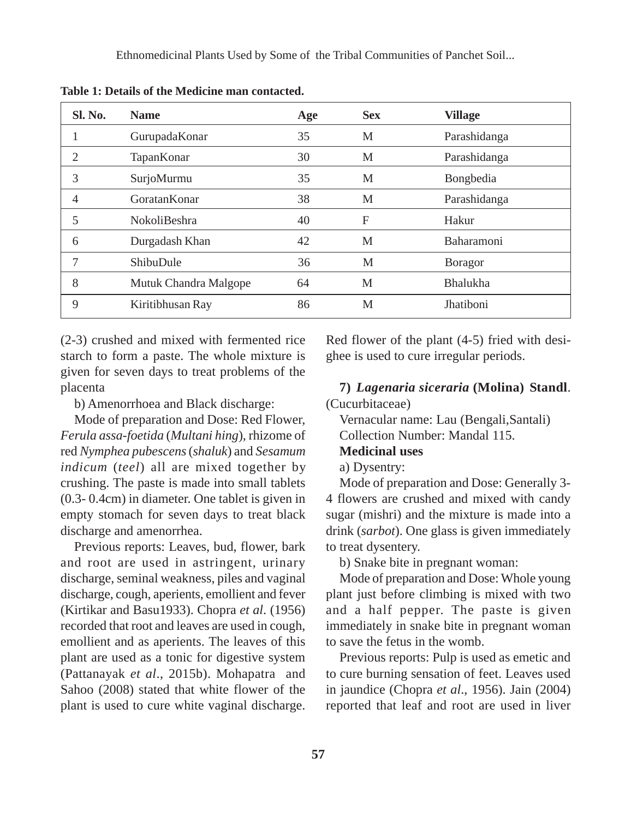Ethnomedicinal Plants Used by Some of the Tribal Communities of Panchet Soil...

| Sl. No.        | <b>Name</b>           | Age | <b>Sex</b> | <b>Village</b>  |
|----------------|-----------------------|-----|------------|-----------------|
|                | GurupadaKonar         | 35  | M          | Parashidanga    |
| $\overline{c}$ | TapanKonar            | 30  | M          | Parashidanga    |
| 3              | SurjoMurmu            | 35  | M          | Bongbedia       |
| $\overline{4}$ | GoratanKonar          | 38  | M          | Parashidanga    |
| 5              | <b>NokoliBeshra</b>   | 40  | F          | Hakur           |
| 6              | Durgadash Khan        | 42  | M          | Baharamoni      |
| 7              | ShibuDule             | 36  | M          | <b>Boragor</b>  |
| 8              | Mutuk Chandra Malgope | 64  | M          | <b>Bhalukha</b> |
| 9              | Kiritibhusan Ray      | 86  | M          | Jhatiboni       |

**Table 1: Details of the Medicine man contacted.**

(2-3) crushed and mixed with fermented rice starch to form a paste. The whole mixture is given for seven days to treat problems of the placenta

b) Amenorrhoea and Black discharge:

Mode of preparation and Dose: Red Flower, *Ferula assa-foetida* (*Multani hing*)*,* rhizome of red *Nymphea pubescens* (*shaluk*) and *Sesamum indicum* (*teel*) all are mixed together by crushing. The paste is made into small tablets (0.3- 0.4cm) in diameter. One tablet is given in empty stomach for seven days to treat black discharge and amenorrhea.

Previous reports: Leaves, bud, flower, bark and root are used in astringent, urinary discharge, seminal weakness, piles and vaginal discharge, cough, aperients, emollient and fever (Kirtikar and Basu1933). Chopra *et al*. (1956) recorded that root and leaves are used in cough, emollient and as aperients. The leaves of this plant are used as a tonic for digestive system (Pattanayak *et al*., 2015b). Mohapatra and Sahoo (2008) stated that white flower of the plant is used to cure white vaginal discharge.

Red flower of the plant (4-5) fried with desighee is used to cure irregular periods.

**7)** *Lagenaria siceraria* **(Molina) Standl**. (Cucurbitaceae)

Vernacular name: Lau (Bengali,Santali) Collection Number: Mandal 115.

- **Medicinal uses**
- a) Dysentry:

Mode of preparation and Dose: Generally 3- 4 flowers are crushed and mixed with candy sugar (mishri) and the mixture is made into a drink (*sarbot*). One glass is given immediately to treat dysentery.

b) Snake bite in pregnant woman:

Mode of preparation and Dose: Whole young plant just before climbing is mixed with two and a half pepper. The paste is given immediately in snake bite in pregnant woman to save the fetus in the womb.

Previous reports: Pulp is used as emetic and to cure burning sensation of feet. Leaves used in jaundice (Chopra *et al*., 1956). Jain (2004) reported that leaf and root are used in liver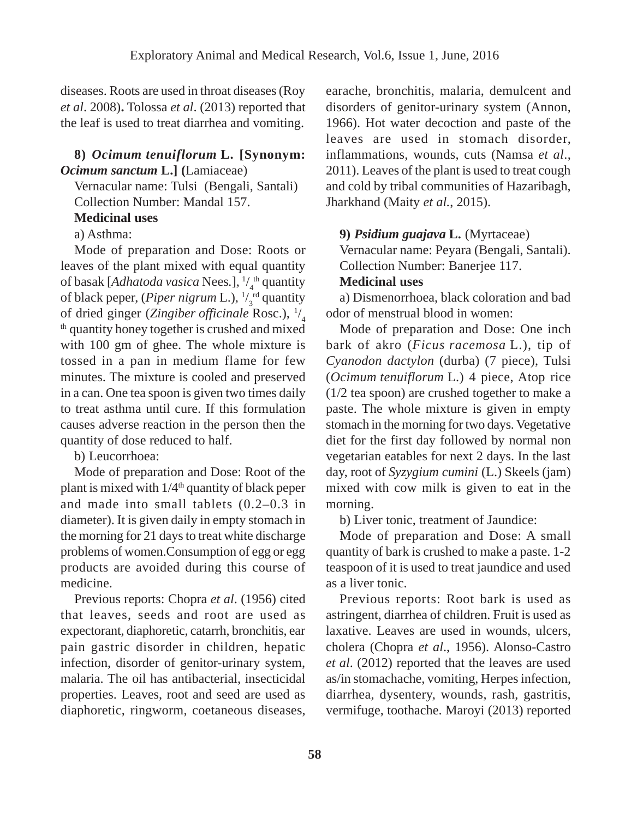diseases. Roots are used in throat diseases (Roy *et al*. 2008)**.** Tolossa *et al*. (2013) reported that the leaf is used to treat diarrhea and vomiting.

#### **8)** *Ocimum tenuiflorum* **L. [Synonym:** *Ocimum sanctum* **L.] (**Lamiaceae)

Vernacular name: Tulsi (Bengali, Santali) Collection Number: Mandal 157.

#### **Medicinal uses**

a) Asthma:

Mode of preparation and Dose: Roots or leaves of the plant mixed with equal quantity of basak [*Adhatoda vasica* Nees*.*], 1 / 4 th quantity of black peper, (*Piper nigrum* L.), <sup>1/</sup><sub>3</sub><sup>rd</sup> quantity of dried ginger (Zingiber officinale Rosc.), <sup>1</sup>/  $<sup>th</sup>$  quantity honey together is crushed and mixed</sup> with 100 gm of ghee. The whole mixture is tossed in a pan in medium flame for few minutes. The mixture is cooled and preserved in a can. One tea spoon is given two times daily to treat asthma until cure. If this formulation causes adverse reaction in the person then the quantity of dose reduced to half.

b) Leucorrhoea:

Mode of preparation and Dose: Root of the plant is mixed with  $1/4<sup>th</sup>$  quantity of black peper and made into small tablets (0.2–0.3 in diameter). It is given daily in empty stomach in the morning for 21 days to treat white discharge problems of women.Consumption of egg or egg products are avoided during this course of medicine.

Previous reports: Chopra *et al*. (1956) cited that leaves, seeds and root are used as expectorant, diaphoretic, catarrh, bronchitis, ear pain gastric disorder in children, hepatic infection, disorder of genitor-urinary system, malaria. The oil has antibacterial, insecticidal properties. Leaves, root and seed are used as diaphoretic, ringworm, coetaneous diseases, earache, bronchitis, malaria, demulcent and disorders of genitor-urinary system (Annon, 1966). Hot water decoction and paste of the leaves are used in stomach disorder, inflammations, wounds, cuts (Namsa *et al*., 2011). Leaves of the plant is used to treat cough and cold by tribal communities of Hazaribagh, Jharkhand (Maity *et al.*, 2015).

#### **9)** *Psidium guajava* **L.** (Myrtaceae)

Vernacular name: Peyara (Bengali, Santali). Collection Number: Banerjee 117.

#### **Medicinal uses**

a) Dismenorrhoea, black coloration and bad odor of menstrual blood in women:

Mode of preparation and Dose: One inch bark of akro (*Ficus racemosa* L.), tip of *Cyanodon dactylon* (durba) (7 piece), Tulsi (*Ocimum tenuiflorum* L.) 4 piece, Atop rice (1/2 tea spoon) are crushed together to make a paste. The whole mixture is given in empty stomach in the morning for two days. Vegetative diet for the first day followed by normal non vegetarian eatables for next 2 days. In the last day, root of *Syzygium cumini* (L.) Skeels (jam) mixed with cow milk is given to eat in the morning.

b) Liver tonic, treatment of Jaundice:

Mode of preparation and Dose: A small quantity of bark is crushed to make a paste. 1-2 teaspoon of it is used to treat jaundice and used as a liver tonic.

Previous reports: Root bark is used as astringent, diarrhea of children. Fruit is used as laxative. Leaves are used in wounds, ulcers, cholera (Chopra *et al*., 1956). Alonso-Castro *et al*. (2012) reported that the leaves are used as/in stomachache, vomiting, Herpes infection, diarrhea, dysentery, wounds, rash, gastritis, vermifuge, toothache. Maroyi (2013) reported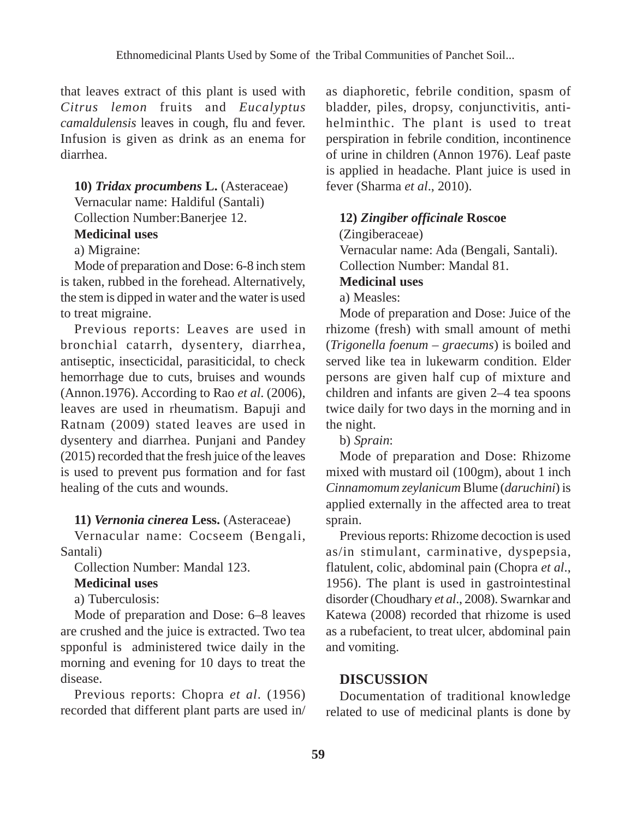that leaves extract of this plant is used with *Citrus lemon* fruits and *Eucalyptus camaldulensis* leaves in cough, flu and fever. Infusion is given as drink as an enema for diarrhea.

# **10)** *Tridax procumbens* **L.** (Asteraceae) Vernacular name: Haldiful (Santali)

Collection Number:Banerjee 12.

#### **Medicinal uses**

a) Migraine:

Mode of preparation and Dose: 6-8 inch stem is taken, rubbed in the forehead. Alternatively, the stem is dipped in water and the water is used to treat migraine.

Previous reports: Leaves are used in bronchial catarrh, dysentery, diarrhea, antiseptic, insecticidal, parasiticidal, to check hemorrhage due to cuts, bruises and wounds (Annon.1976). According to Rao *et al*. (2006), leaves are used in rheumatism. Bapuji and Ratnam (2009) stated leaves are used in dysentery and diarrhea. Punjani and Pandey (2015) recorded that the fresh juice of the leaves is used to prevent pus formation and for fast healing of the cuts and wounds.

#### **11)** *Vernonia cinerea* **Less.** (Asteraceae)

Vernacular name: Cocseem (Bengali, Santali)

Collection Number: Mandal 123.

#### **Medicinal uses**

a) Tuberculosis:

Mode of preparation and Dose: 6–8 leaves are crushed and the juice is extracted. Two tea spponful is administered twice daily in the morning and evening for 10 days to treat the disease.

Previous reports: Chopra *et al*. (1956) recorded that different plant parts are used in/ as diaphoretic, febrile condition, spasm of bladder, piles, dropsy, conjunctivitis, antihelminthic. The plant is used to treat perspiration in febrile condition, incontinence of urine in children (Annon 1976). Leaf paste is applied in headache. Plant juice is used in fever (Sharma *et al*., 2010).

#### **12)** *Zingiber officinale* **Roscoe**

(Zingiberaceae) Vernacular name: Ada (Bengali, Santali). Collection Number: Mandal 81.

#### **Medicinal uses**

a) Measles:

Mode of preparation and Dose: Juice of the rhizome (fresh) with small amount of methi (*Trigonella foenum – graecums*) is boiled and served like tea in lukewarm condition. Elder persons are given half cup of mixture and children and infants are given 2–4 tea spoons twice daily for two days in the morning and in the night.

b) *Sprain*:

Mode of preparation and Dose: Rhizome mixed with mustard oil (100gm), about 1 inch *Cinnamomum zeylanicum* Blume (*daruchini*) is applied externally in the affected area to treat sprain.

Previous reports: Rhizome decoction is used as/in stimulant, carminative, dyspepsia, flatulent, colic, abdominal pain (Chopra *et al*., 1956). The plant is used in gastrointestinal disorder (Choudhary *et al*., 2008). Swarnkar and Katewa (2008) recorded that rhizome is used as a rubefacient, to treat ulcer, abdominal pain and vomiting.

#### **DISCUSSION**

Documentation of traditional knowledge related to use of medicinal plants is done by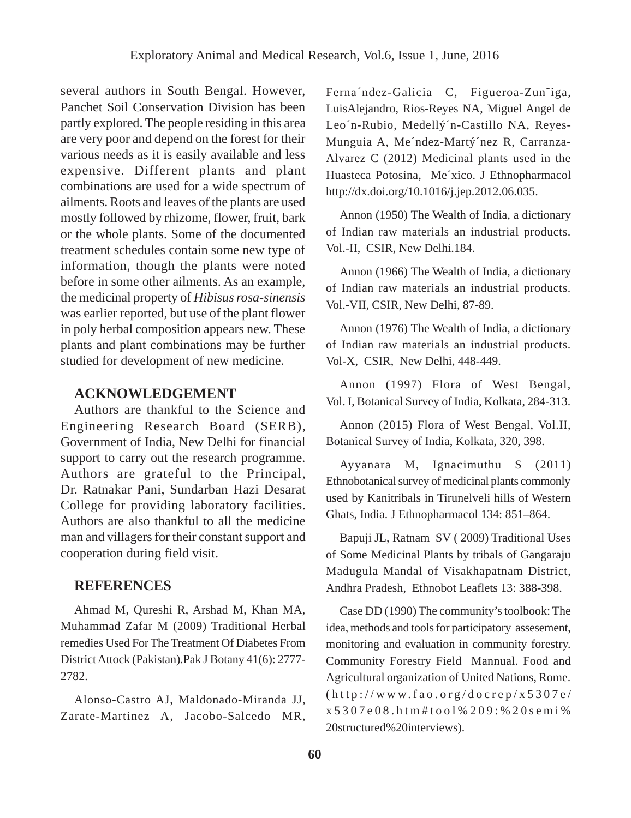several authors in South Bengal. However, Panchet Soil Conservation Division has been partly explored. The people residing in this area are very poor and depend on the forest for their various needs as it is easily available and less expensive. Different plants and plant combinations are used for a wide spectrum of ailments. Roots and leaves of the plants are used mostly followed by rhizome, flower, fruit, bark or the whole plants. Some of the documented treatment schedules contain some new type of information, though the plants were noted before in some other ailments. As an example, the medicinal property of *Hibisus rosa-sinensis* was earlier reported, but use of the plant flower in poly herbal composition appears new. These plants and plant combinations may be further studied for development of new medicine.

#### **ACKNOWLEDGEMENT**

Authors are thankful to the Science and Engineering Research Board (SERB), Government of India, New Delhi for financial support to carry out the research programme. Authors are grateful to the Principal, Dr. Ratnakar Pani, Sundarban Hazi Desarat College for providing laboratory facilities. Authors are also thankful to all the medicine man and villagers for their constant support and cooperation during field visit.

#### **REFERENCES**

Ahmad M, Qureshi R, Arshad M, Khan MA, Muhammad Zafar M (2009) Traditional Herbal remedies Used For The Treatment Of Diabetes From District Attock (Pakistan).Pak J Botany 41(6): 2777- 2782.

Alonso-Castro AJ, Maldonado-Miranda JJ, Zarate-Martinez A, Jacobo-Salcedo MR, Ferna´ndez-Galicia C, Figueroa-Zun˜iga, LuisAlejandro, Rios-Reyes NA, Miguel Angel de Leo´n-Rubio, Medellý´n-Castillo NA, Reyes-Munguia A, Me´ndez-Martý´nez R, Carranza-Alvarez C (2012) Medicinal plants used in the Huasteca Potosina, Me´xico. J Ethnopharmacol http://dx.doi.org/10.1016/j.jep.2012.06.035.

Annon (1950) The Wealth of India, a dictionary of Indian raw materials an industrial products. Vol.-II, CSIR, New Delhi.184.

Annon (1966) The Wealth of India, a dictionary of Indian raw materials an industrial products. Vol.-VII, CSIR, New Delhi, 87-89.

Annon (1976) The Wealth of India, a dictionary of Indian raw materials an industrial products. Vol-X, CSIR, New Delhi, 448-449.

Annon (1997) Flora of West Bengal, Vol. I, Botanical Survey of India, Kolkata, 284-313.

Annon (2015) Flora of West Bengal, Vol.II, Botanical Survey of India, Kolkata, 320, 398.

Ayyanara M, Ignacimuthu S (2011) Ethnobotanical survey of medicinal plants commonly used by Kanitribals in Tirunelveli hills of Western Ghats, India. J Ethnopharmacol 134: 851–864.

Bapuji JL, Ratnam SV ( 2009) Traditional Uses of Some Medicinal Plants by tribals of Gangaraju Madugula Mandal of Visakhapatnam District, Andhra Pradesh, Ethnobot Leaflets 13: 388-398.

Case DD (1990) The community's toolbook: The idea, methods and tools for participatory assesement, monitoring and evaluation in community forestry. Community Forestry Field Mannual. Food and Agricultural organization of United Nations, Rome. (http://www.fao.org/docrep/x5307e/ x5307e08.htm#tool%209:%20semi% 20structured%20interviews).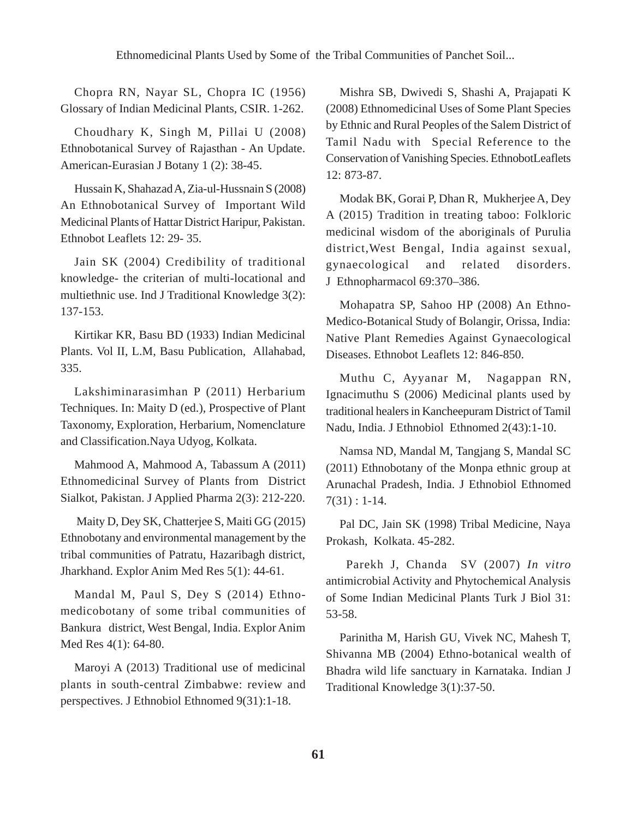Chopra RN, Nayar SL, Chopra IC (1956) Glossary of Indian Medicinal Plants, CSIR. 1-262.

Choudhary K, Singh M, Pillai U (2008) Ethnobotanical Survey of Rajasthan - An Update. American-Eurasian J Botany 1 (2): 38-45.

Hussain K, Shahazad A, Zia-ul-Hussnain S (2008) An Ethnobotanical Survey of Important Wild Medicinal Plants of Hattar District Haripur, Pakistan. Ethnobot Leaflets 12: 29- 35.

Jain SK (2004) Credibility of traditional knowledge- the criterian of multi-locational and multiethnic use. Ind J Traditional Knowledge 3(2): 137-153.

Kirtikar KR, Basu BD (1933) Indian Medicinal Plants. Vol II, L.M, Basu Publication, Allahabad, 335.

Lakshiminarasimhan P (2011) Herbarium Techniques. In: Maity D (ed.), Prospective of Plant Taxonomy, Exploration, Herbarium, Nomenclature and Classification.Naya Udyog, Kolkata.

Mahmood A, Mahmood A, Tabassum A (2011) Ethnomedicinal Survey of Plants from District Sialkot, Pakistan. J Applied Pharma 2(3): 212-220.

 Maity D, Dey SK, Chatterjee S, Maiti GG (2015) Ethnobotany and environmental management by the tribal communities of Patratu, Hazaribagh district, Jharkhand. Explor Anim Med Res 5(1): 44-61.

Mandal M, Paul S, Dey S (2014) Ethnomedicobotany of some tribal communities of Bankura district, West Bengal, India. Explor Anim Med Res 4(1): 64-80.

Maroyi A (2013) Traditional use of medicinal plants in south-central Zimbabwe: review and perspectives. J Ethnobiol Ethnomed 9(31):1-18.

Mishra SB, Dwivedi S, Shashi A, Prajapati K (2008) Ethnomedicinal Uses of Some Plant Species by Ethnic and Rural Peoples of the Salem District of Tamil Nadu with Special Reference to the Conservation of Vanishing Species. EthnobotLeaflets 12: 873-87.

Modak BK, Gorai P, Dhan R, Mukherjee A, Dey A (2015) Tradition in treating taboo: Folkloric medicinal wisdom of the aboriginals of Purulia district,West Bengal, India against sexual, gynaecological and related disorders. J Ethnopharmacol 69:370–386.

Mohapatra SP, Sahoo HP (2008) An Ethno-Medico-Botanical Study of Bolangir, Orissa, India: Native Plant Remedies Against Gynaecological Diseases. Ethnobot Leaflets 12: 846-850.

Muthu C, Ayyanar M, Nagappan RN, Ignacimuthu S (2006) Medicinal plants used by traditional healers in Kancheepuram District of Tamil Nadu, India. J Ethnobiol Ethnomed 2(43):1-10.

Namsa ND, Mandal M, Tangjang S, Mandal SC (2011) Ethnobotany of the Monpa ethnic group at Arunachal Pradesh, India. J Ethnobiol Ethnomed 7(31) : 1-14.

Pal DC, Jain SK (1998) Tribal Medicine, Naya Prokash, Kolkata. 45-282.

 Parekh J, Chanda SV (2007) *In vitro* antimicrobial Activity and Phytochemical Analysis of Some Indian Medicinal Plants Turk J Biol 31: 53-58.

Parinitha M, Harish GU, Vivek NC, Mahesh T, Shivanna MB (2004) Ethno-botanical wealth of Bhadra wild life sanctuary in Karnataka. Indian J Traditional Knowledge 3(1):37-50.